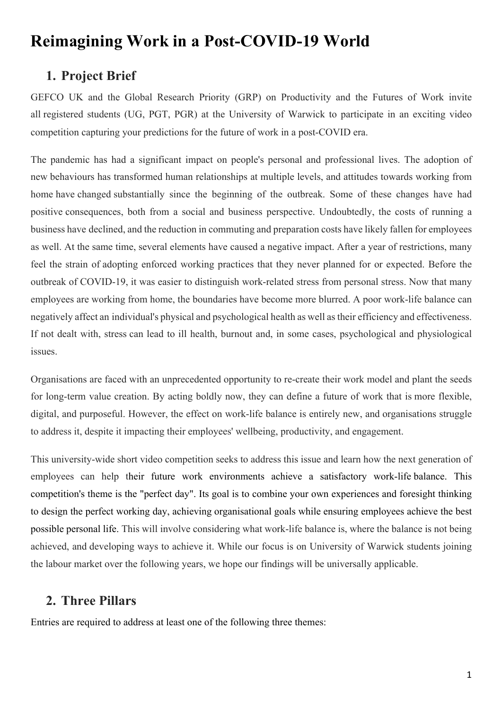# **Reimagining Work in a Post-COVID-19 World**

## **1. Project Brief**

GEFCO UK and the Global Research Priority (GRP) on Productivity and the Futures of Work invite all registered students (UG, PGT, PGR) at the University of Warwick to participate in an exciting video competition capturing your predictions for the future of work in a post-COVID era.

The pandemic has had a significant impact on people's personal and professional lives. The adoption of new behaviours has transformed human relationships at multiple levels, and attitudes towards working from home have changed substantially since the beginning of the outbreak. Some of these changes have had positive consequences, both from a social and business perspective. Undoubtedly, the costs of running a business have declined, and the reduction in commuting and preparation costs have likely fallen for employees as well. At the same time, several elements have caused a negative impact. After a year of restrictions, many feel the strain of adopting enforced working practices that they never planned for or expected. Before the outbreak of COVID-19, it was easier to distinguish work-related stress from personal stress. Now that many employees are working from home, the boundaries have become more blurred. A poor work-life balance can negatively affect an individual's physical and psychological health as well as their efficiency and effectiveness. If not dealt with, stress can lead to ill health, burnout and, in some cases, psychological and physiological issues.

Organisations are faced with an unprecedented opportunity to re-create their work model and plant the seeds for long-term value creation. By acting boldly now, they can define a future of work that is more flexible, digital, and purposeful. However, the effect on work-life balance is entirely new, and organisations struggle to address it, despite it impacting their employees' wellbeing, productivity, and engagement.

This university-wide short video competition seeks to address this issue and learn how the next generation of employees can help their future work environments achieve a satisfactory work-life balance. This competition's theme is the "perfect day". Its goal is to combine your own experiences and foresight thinking to design the perfect working day, achieving organisational goals while ensuring employees achieve the best possible personal life. This will involve considering what work-life balance is, where the balance is not being achieved, and developing ways to achieve it. While our focus is on University of Warwick students joining the labour market over the following years, we hope our findings will be universally applicable.

## **2. Three Pillars**

Entries are required to address at least one of the following three themes: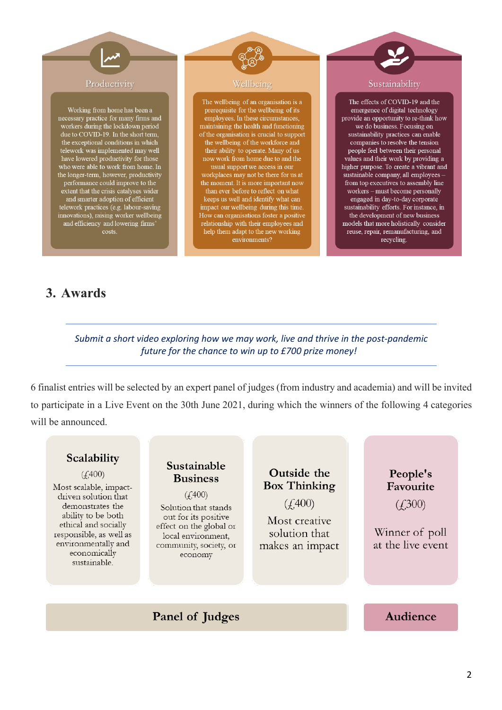

and efficiency and lowering firms' costs

**3. Awards**

help them adapt to the new working

environments?

### *Submit a short video exploring how we may work, live and thrive in the post-pandemic future for the chance to win up to £700 prize money!*

6 finalist entries will be selected by an expert panel of judges (from industry and academia) and will be invited to participate in a Live Event on the 30th June 2021, during which the winners of the following 4 categories will be announced.

### Scalability Sustainable Outside the  $(f,400)$ **Business Box Thinking** Most scalable, impact- $(4.400)$ driven solution that  $(f.400)$ demonstrates the Solution that stands ability to be both out for its positive Most creative ethical and socially effect on the global or Winner of poll solution that responsible, as well as local environment, environmentally and at the live event community, society, or makes an impact economically economy sustainable.

Panel of Judges

## Audience

People's

Favourite

 $(f300)$ 

reuse, repair, remanufacturing, and

recycling.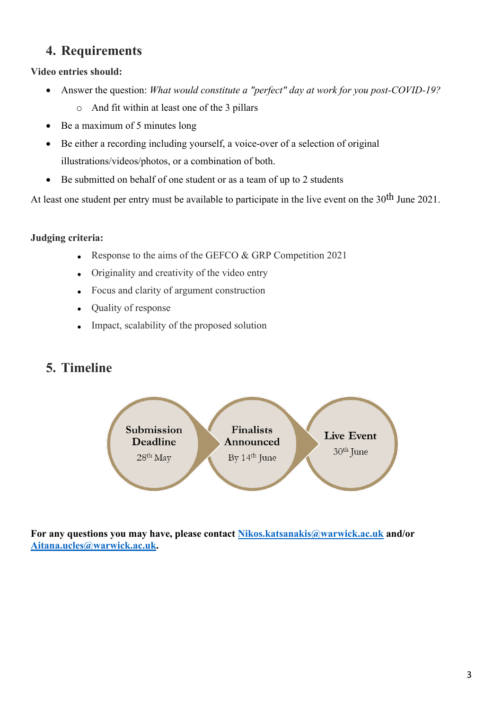## **4. Requirements**

**Video entries should:**

- Answer the question: *What would constitute a "perfect" day at work for you post-COVID-19?*
	- o And fit within at least one of the 3 pillars
- Be a maximum of 5 minutes long
- Be either a recording including yourself, a voice-over of a selection of original illustrations/videos/photos, or a combination of both.
- Be submitted on behalf of one student or as a team of up to 2 students

At least one student per entry must be available to participate in the live event on the 30<sup>th</sup> June 2021.

### **Judging criteria:**

- Response to the aims of the GEFCO & GRP Competition 2021
- Originality and creativity of the video entry
- Focus and clarity of argument construction
- Quality of response
- Impact, scalability of the proposed solution

## **5. Timeline**



**For any questions you may have, please contact Nikos.katsanakis@warwick.ac.uk and/or Aitana.ucles@warwick.ac.uk.**